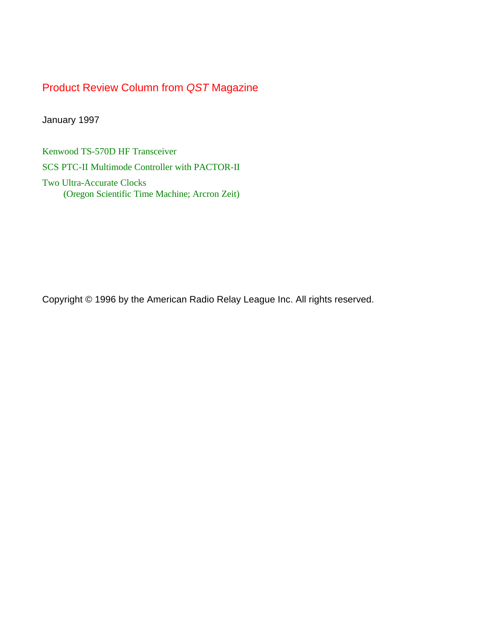# Product Review Column from *QST* Magazine

January 1997

[Kenwood TS-570D HF Transceiver](#page-1-0)

[SCS PTC-II Multimode Controller with PACTOR-II](#page-5-0)

Two Ultra-Accurate Clocks [\(Oregon Scientific Time Machine; Arcron Zeit\)](#page-7-0)

Copyright © 1996 by the American Radio Relay League Inc. All rights reserved.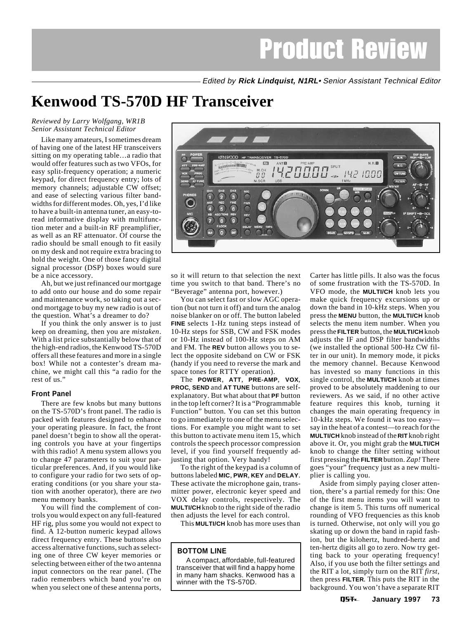Edited by **Rick Lindquist, N1RL**• Senior Assistant Technical Editor

# <span id="page-1-0"></span>**Kenwood TS-570D HF Transceiver**

### *Reviewed by Larry Wolfgang, WR1B Senior Assistant Technical Editor*

Like many amateurs, I sometimes dream of having one of the latest HF transceivers sitting on my operating table…a radio that would offer features such as two VFOs, for easy split-frequency operation; a numeric keypad, for direct frequency entry; lots of memory channels; adjustable CW offset; and ease of selecting various filter bandwidths for different modes. Oh, yes, I'd like to have a built-in antenna tuner, an easy-toread informative display with multifunction meter and a built-in RF preamplifier, as well as an RF attenuator. Of course the radio should be small enough to fit easily on my desk and not require extra bracing to hold the weight. One of those fancy digital signal processor (DSP) boxes would sure be a nice accessory.

Ah, but we just refinanced our mortgage to add onto our house and do some repair and maintenance work, so taking out a second mortgage to buy my new radio is out of the question. What's a dreamer to do?

If you think the only answer is to just keep on dreaming, then you are *mistaken*. With a list price substantially below that of the high-end radios, the Kenwood TS-570D offers all these features and more in a single box! While not a contester's dream machine, we might call this "a radio for the rest of us."

### **Front Panel**

There are few knobs but many buttons on the TS-570D's front panel. The radio is packed with features designed to enhance your operating pleasure. In fact, the front panel doesn't begin to show all the operating controls you have at your fingertips with this radio! A menu system allows you to change 47 parameters to suit your particular preferences. And, if you would like to configure your radio for two sets of operating conditions (or you share your station with another operator), there are *two* menu memory banks.

You will find the complement of controls you would expect on any full-featured HF rig, plus some you would not expect to find. A 12-button numeric keypad allows direct frequency entry. These buttons also access alternative functions, such as selecting one of three CW keyer memories or selecting between either of the two antenna input connectors on the rear panel. (The radio remembers which band you're on when you select one of these antenna ports,



so it will return to that selection the next time you switch to that band. There's no "Beverage" antenna port, however.)

You can select fast or slow AGC operation (but not turn it off) and turn the analog noise blanker on or off. The button labeled **FINE** selects 1-Hz tuning steps instead of 10-Hz steps for SSB, CW and FSK modes or 10-Hz instead of 100-Hz steps on AM and FM. The **REV** button allows you to select the opposite sideband on CW or FSK (handy if you need to reverse the mark and space tones for RTTY operation).

The **POWER**, **ATT**, **PRE-AMP**, **VOX**, **PROC**, **SEND** and **AT TUNE** buttons are selfexplanatory. But what about that **PF** button in the top left corner? It is a "Programmable Function" button. You can set this button to go immediately to one of the menu selections. For example you might want to set this button to activate menu item 15, which controls the speech processor compression level, if you find yourself frequently adjusting that option. Very handy!

To the right of the keypad is a column of buttons labeled **MIC**, **PWR**, **KEY** and **DELAY**. These activate the microphone gain, transmitter power, electronic keyer speed and VOX delay controls, respectively. The **MULTI/CH** knob to the right side of the radio then adjusts the level for each control.

This **MULTI/CH** knob has more uses than

### **BOTTOM LINE**

A compact, affordable, full-featured transceiver that will find a happy home in many ham shacks. Kenwood has a winner with the TS-570D.

Carter has little pills. It also was the focus of some frustration with the TS-570D. In VFO mode, the **MULTI/CH** knob lets you make quick frequency excursions up or down the band in 10-kHz steps. When you press the **MENU** button, the **MULTI/CH** knob selects the menu item number. When you press the **FILTER** button, the **MULTI/CH** knob adjusts the IF and DSP filter bandwidths (we installed the optional 500-Hz CW filter in our unit). In memory mode, it picks the memory channel. Because Kenwood has invested so many functions in this single control, the **MULTI/CH** knob at times proved to be absolutely maddening to our reviewers. As we said, if no other active feature requires this knob, turning it changes the main operating frequency in 10-kHz steps. We found it was too easy say in the heat of a contest—to reach for the **MULTI/CH** knob instead of the **RIT** knob right above it. Or, you might grab the **MULTI/CH** knob to change the filter setting without first pressing the **FILTER** button. *Zap!* There goes "your" frequency just as a new multiplier is calling you.

Aside from simply paying closer attention, there's a partial remedy for this: One of the first menu items you will want to change is item 5. This turns off numerical rounding of VFO frequencies as this knob is turned. Otherwise, not only will you go skating up or down the band in rapid fashion, but the kilohertz, hundred-hertz and ten-hertz digits all go to zero. Now try getting back to your operating frequency! Also, if you use both the filter settings and the RIT a lot, simply turn on the RIT *first*, then press **FILTER**. This puts the RIT in the background. You won't have a separate RIT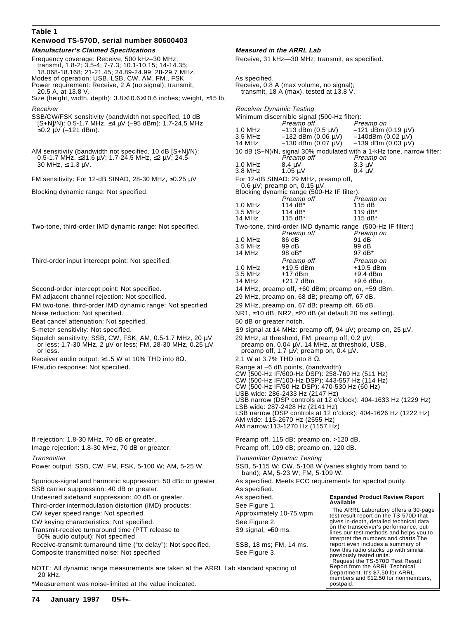### **Table 1**

### **Kenwood TS-570D, serial number 80600403 Manufacturer's Claimed Specifications Measured in the ARRL Lab**

Frequency coverage: Receive, 500 kHz–30 MHz; Receive, 31 kHz—30 MHz; transmit, as specified. transmit, 1.8-2; 3.5-4; 7-7.3; 10.1-10.15; 14-14.35; 18.068-18.168; 21-21.45; 24.89-24.99; 28-29.7 MHz. Modes of operation: USB, LSB, CW, AM, FM., FSK \_\_\_\_\_\_\_\_\_\_\_\_\_\_\_\_\_\_\_\_\_\_\_\_\_\_\_\_\_\_\_\_\_

- Power requirement: Receive, 2 A (no signal); transmit, Receive, 0.8 A (max volume, no signal);
- 20.5 A, at 13.8 V. transmit, 18 A (max), tested at 13.8 V.
- Size (height, width, depth): 3.8×10.6×10.6 inches; weight, ≈15 lb. Receiver **Receiver Receiver Receiver Receiver Receiver Dynamic Testing**

- SSB/CW/FSK sensitivity (bandwidth not specified, 10 dB Minimum discernible signal (500-Hz filter):<br>S+NJ/N): 0.5-1.7 MHz, ≤4 µV (-95 dBm); 1.7-24.5 MHz, Minimum discernible signal (500-Hz filter):
- $0.5$ -1.7 MHz, ≤31.6 μV; 1.7-24.5 MHz, ≤2 μV; 24.5- Preamp off Preamp off Preamp off Pream<br>30 MHz, ≤ 1.3 μV. Preamp on Preamp of Preamp of Preamp of Preamp of Preamp of Pream

FM sensitivity: For 12-dB SINAD, 28-30 MHz, ≤0.25  $\mu$ V

- FM two-tone, third-order IMD dynamic range: Not specified 29 MHz, preamp on, 67 dB; preamp off, 66 dB.
- Beat cancel attenuation: Not specified. 50 dB or greater notch.

Squelch sensitivity: SSB, CW, FSK, AM, 0.5-1.7 MHz, 20  $\mu$ V 29 MHz, at threshold, FM, preamp off, 0.2  $\mu$ V;<br>or less; 1.7-30 MHz, 2  $\mu$ V or less; FM, 28-30 MHz, 0.25  $\mu$ V preamp on, 0.04  $\mu$ V. 14 MHz, at threshold, US or less; 1.7-30 MHz, 2  $\mu$ V or less; FM, 28-30 MHz, 0.25  $\mu$ V or less. preamp off, 1.7 µV; preamp on, 0.4 µV.

Receiver audio output:  $\geq$ 1.5 W at 10% THD into 8 $\Omega$ . 2.1 W at 3.7% THD into 8  $\Omega$ .

Image rejection: 1.8-30 MHz, 70 dB or greater. Preamp off, 109 dB; preamp on, 120 dB.

Spurious-signal and harmonic suppression: 50 dBc or greater. As specified. Meets FCC requirements for spectral purity. SSB carrier suppression: 40 dB or greater. As specified.

Undesired sideband suppression: 40 dB or greater. As specified.

Third-order intermodulation distortion (IMD) products: See Figure 1.

CW keyer speed range: Not specified. The second service of Approximately 10-75 wpm.

CW keying characteristics: Not specified. See Figure 2.

Transmit-receive turnaround time (PTT release to S9 signal, ≈50 ms. 50% audio output): Not specified.

Receive-transmit turnaround time ("tx delay"): Not specified. SSB, 18 ms; FM, 14 ms. Composite transmitted noise: Not specified See Figure 3.

NOTE: All dynamic range measurements are taken at the ARRL Lab standard spacing of 20 kHz.

\*Measurement was noise-limited at the value indicated.

 $[S+N]/N$ ): 0.5-1.7 MHz, ≤4 μV (–95 dBm); 1.7-24.5 MHz, Preamp of Preamp off Preamp on <br>≤0.2 μV (–121 dBm). Preamp on Preamp of Preamp of Preamp of Preamp on Preamp on Preamp on Preamp on Preamp on ≤0.2 µV (–121 dBm). 1.0 MHz –113 dBm (0.5 µV) –121 dBm (0.19 µV)  $-132$  dBm (0.06  $\mu$ V) 14 MHz –130 dBm  $(0.07 \mu V)$  –139 dBm  $(0.03 \mu V)$ AM sensitivity (bandwidth not specified, 10 dB [S+N]/N):  $0.5-1.7$  MHz,  $\leq$ 31.6  $\mu$ V; 1.7-24.5 MHz,  $\leq$ 2  $\mu$ V; 24.5-<br>  $P$ reamp off Preamp on Preamp on  $30 \text{ MHz, } ≤ 1.3 \text{ μV}.$ <br>3.8 MHz  $4.0 \text{ MHz}$   $3.3 \text{ μV}$   $3.3 \text{ μV}$   $3.3 \text{ μV}$   $3.4 \text{ μV}$ 3.8 MHz  $1.05 \mu V$ <br>For 12-dB SINAD: 29 MHz, preamp off, 0.6  $\mu$ V; preamp on, 0.15  $\mu$ V. Blocking dynamic range: Not specified.<br>Blocking dynamic range (500-Hz IF filter):<br>Preamp off Preamp on Preamp off Preamp<br>114 dB\* 115 dB 1.0 MHz 114 dB\* 115 dB 3.5 MHz 114 dB\* 119 dB\* 115 d $B^*$ Two-tone, third-order IMD dynamic range: Not specified. Two-tone, third-order IMD dynamic range (500-Hz IF filter:) Preamp off Prean<br>86 dB 91 dB 1.0 MHz 86 dB 91 dB 3.5 MHz 99 dB 99 dB 14 MHz Third-order input intercept point: Not specified. Third-order input intercept point: Not specified. Preamp on 1.0 MHz +19.5 dBm +19.5 dBm 3.5 MHz +17 dBm +9.4 dBm  $+21.7$  dBm  $+9.6$  dBm Second-order intercept point: Not specified. 14 MHz, preamp off, +60 dBm; preamp on, +59 dBm. FM adjacent channel rejection: Not specified. 29 MHz, preamp on, 68 dB; preamp off, 67 dB. Noise reduction: Not specified. NR1, ≈10 dB; NR2, ≈20 dB (at default 20 ms setting). S-meter sensitivity: Not specified. S9 signal at 14 MHz: preamp off, 94 µV; preamp on, 25 µV. IF/audio response: Not specified. The result of the Range at –6 dB points, (bandwidth): CW (500-Hz IF/600-Hz DSP): 258-769 Hz (511 Hz) CW (500-Hz IF/100-Hz DSP): 443-557 Hz (114 Hz) CW (500-Hz IF/50 Hz DSP): 470-530 Hz (60 Hz) USB wide: 286-2433 Hz (2147 Hz) USB narrow (DSP controls at 12 o'clock): 404-1633 Hz (1229 Hz) LSB wide: 287-2428 Hz (2141 Hz) LSB narrow (DSP controls at 12 o'clock): 404-1626 Hz (1222 Hz) AM wide: 115-2670 Hz (2555 Hz) AM narrow:113-1270 Hz (1157 Hz) If rejection: 1.8-30 MHz, 70 dB or greater. Preamp off, 115 dB; preamp on, >120 dB. **Transmitter Dynamic Testing** Power output: SSB, CW, FM, FSK, 5-100 W; AM, 5-25 W. SSB, 5-115 W; CW, 5-108 W (varies slightly from band to band); AM, 5-23 W; FM, 5-109 W. **Expanded Product Review Report Available** The ARRL Laboratory offers a 30-page test result report on the TS-570D that gives in-depth, detailed technical data on the transceiver's performance, out-lines our test methods and helps you to interpret the numbers and charts.The report even includes a summary of how this radio stacks up with similar, previously tested units. Request the TS-570D Test Result Report from the ARRL Technical Department. It's \$7.50 for ARRL members and \$12.50 for nonmembers, postpaid.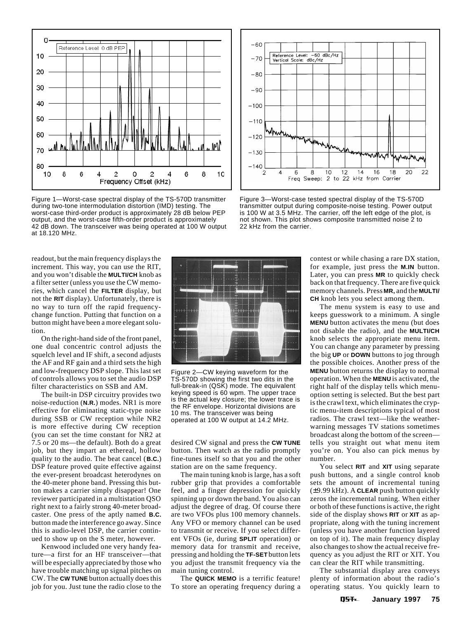

Figure 1—Worst-case spectral display of the TS-570D transmitter during two-tone intermodulation distortion (IMD) testing. The worst-case third-order product is approximately 28 dB below PEP output, and the worst-case fifth-order product is approximately 42 dB down. The transceiver was being operated at 100 W output at 18.120 MHz.

readout, but the main frequency displays the increment. This way, you can use the RIT, and you won't disable the **MULTI/CH** knob as a filter setter (unless you use the CW memories, which cancel the **FILTER** display, but not the **RIT** display). Unfortunately, there is no way to turn off the rapid frequencychange function. Putting that function on a button might have been a more elegant solution.

On the right-hand side of the front panel, one dual concentric control adjusts the squelch level and IF shift, a second adjusts the AF and RF gain and a third sets the high and low-frequency DSP slope. This last set of controls allows you to set the audio DSP filter characteristics on SSB and AM.

The built-in DSP circuitry provides two noise-reduction (**N.R.**) modes. NR1 is more effective for eliminating static-type noise during SSB or CW reception while NR2 is more effective during CW reception (you can set the time constant for NR2 at 7.5 or 20 ms—the default). Both do a great job, but they impart an ethereal, hollow quality to the audio. The beat cancel (**B.C.**) DSP feature proved quite effective against the ever-present broadcast heterodynes on the 40-meter phone band. Pressing this button makes a carrier simply disappear! One reviewer participated in a multistation QSO right next to a fairly strong 40-meter broadcaster. One press of the aptly named **B.C.** button made the interference go away. Since this is audio-level DSP, the carrier continued to show up on the S meter, however.

Kenwood included one very handy feature—a first for an HF transceiver—that will be especially appreciated by those who have trouble matching up signal pitches on CW. The **CW TUNE** button actually does this job for you. Just tune the radio close to the



Figure 2—CW keying waveform for the TS-570D showing the first two dits in the full-break-in (QSK) mode. The equivalent keying speed is 60 wpm. The upper trace is the actual key closure; the lower trace is the RF envelope. Horizontal divisions are 10 ms. The transceiver was being operated at 100 W output at 14.2 MHz.

desired CW signal and press the **CW TUNE** button. Then watch as the radio promptly fine-tunes itself so that you and the other station are on the same frequency.

The main tuning knob is large, has a soft rubber grip that provides a comfortable feel, and a finger depression for quickly spinning up or down the band. You also can adjust the degree of drag. Of course there are two VFOs plus 100 memory channels. Any VFO or memory channel can be used to transmit or receive. If you select different VFOs (ie, during **SPLIT** operation) or memory data for transmit and receive, pressing and holding the **TF-SET** button lets you adjust the transmit frequency via the main tuning control.

The **QUICK MEMO** is a terrific feature! To store an operating frequency during a



Figure 3—Worst-case tested spectral display of the TS-570D transmitter output during composite-noise testing. Power output is 100 W at 3.5 MHz. The carrier, off the left edge of the plot, is not shown. This plot shows composite transmitted noise 2 to 22 kHz from the carrier.

contest or while chasing a rare DX station, for example, just press the **M.IN** button. Later, you can press **MR** to quickly check back on that frequency. There are five quick memory channels. Press **MR,** and the **MULTI/ CH** knob lets you select among them.

The menu system is easy to use and keeps guesswork to a minimum. A single **MENU** button activates the menu (but does not disable the radio), and the **MULTI/CH** knob selects the appropriate menu item. You can change any parameter by pressing the big **UP** or **DOWN** buttons to jog through the possible choices. Another press of the **MENU** button returns the display to normal operation. When the **MENU** is activated, the right half of the display tells which menuoption setting is selected. But the best part is the crawl text, which eliminates the cryptic menu-item descriptions typical of most radios. The crawl text—like the weatherwarning messages TV stations sometimes broadcast along the bottom of the screen tells you straight out what menu item you're on. You also can pick menus by number.

You select **RIT** and **XIT** using separate push buttons, and a single control knob sets the amount of incremental tuning (±9.99 kHz). A **CLEAR** push button quickly zeros the incremental tuning. When either or both of these functions is active, the right side of the display shows **RIT** or **XIT** as appropriate, along with the tuning increment (unless you have another function layered on top of it). The main frequency display also changes to show the actual receive frequency as you adjust the RIT or XIT. You can clear the RIT while transmitting.

The substantial display area conveys plenty of information about the radio's operating status. You quickly learn to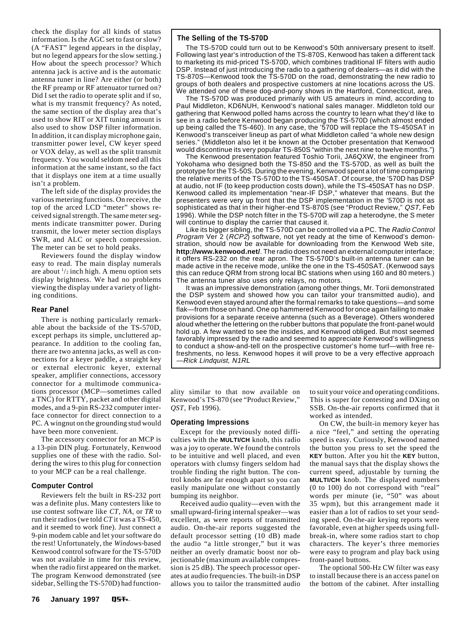check the display for all kinds of status information. Is the AGC set to fast or slow? (A "FAST" legend appears in the display, but *no* legend appears for the slow setting.) How about the speech processor? Which antenna jack is active and is the automatic antenna tuner in line? Are either (or both) the RF preamp or RF attenuator turned on? Did I set the radio to operate split and if so, what is my transmit frequency? As noted, the same section of the display area that's used to show RIT or XIT tuning amount is also used to show DSP filter information. In addition, it can display microphone gain, transmitter power level, CW keyer speed or VOX delay, as well as the split transmit frequency. You would seldom need all this information at the same instant, so the fact that it displays one item at a time usually isn't a problem.

The left side of the display provides the various metering functions. On receive, the top of the arced LCD "meter" shows received signal strength. The same meter segments indicate transmitter power. During transmit, the lower meter section displays SWR, and ALC or speech compression. The meter can be set to hold peaks.

Reviewers found the display window easy to read. The main display numerals are about  $\frac{1}{2}$  inch high. A menu option sets display brightness. We had no problems viewing the display under a variety of lighting conditions.

### **Rear Panel**

There is nothing particularly remarkable about the backside of the TS-570D, except perhaps its simple, uncluttered appearance. In addition to the cooling fan, there are two antenna jacks, as well as connections for a keyer paddle, a straight key or external electronic keyer, external speaker, amplifier connections, accessory connector for a multimode communications processor (MCP—sometimes called a TNC) for RTTY, packet and other digital modes, and a 9-pin RS-232 computer interface connector for direct connection to a PC. A wingnut on the grounding stud would have been more convenient.

The accessory connector for an MCP is a 13-pin DIN plug. Fortunately, Kenwood supplies one of these with the radio. Soldering the wires to this plug for connection to your MCP can be a real challenge.

### **Computer Control**

Reviewers felt the built in RS-232 port was a definite plus. Many contesters like to use contest software like *CT*, *NA*, or *TR* to run their radios (we told *CT* it was a TS-450, and it seemed to work fine). Just connect a 9-pin modem cable and let your software do the rest! Unfortunately, the *Windows*-based Kenwood control software for the TS-570D was not available in time for this review, when the radio first appeared on the market. The program Kenwood demonstrated (see sidebar, Selling the TS-570D) had function-

### **The Selling of the TS-570D**

The TS-570D could turn out to be Kenwood's 50th anniversary present to itself. Following last year's introduction of the TS-870S, Kenwood has taken a different tack to marketing its mid-priced TS-570D, which combines traditional IF filters with audio DSP. Instead of just introducing the radio to a gathering of dealers—as it did with the TS-870S—Kenwood took the TS-570D on the road, demonstrating the new radio to groups of both dealers and prospective customers at nine locations across the US. We attended one of these dog-and-pony shows in the Hartford, Connecticut, area.

The TS-570D was produced primarily with US amateurs in mind, according to Paul Middleton, KD6NUH, Kenwood's national sales manager. Middleton told our gathering that Kenwood polled hams across the country to learn what they'd like to see in a radio before Kenwood began producing the TS-570D (which almost ended up being called the TS-460). In any case, the '570D will replace the TS-450SAT in Kenwood's transceiver lineup as part of what Middleton called "a whole new design series." (Middleton also let it be known at the October presentation that Kenwood would discontinue its very popular TS-850S "within the next nine to twelve months.")

The Kenwood presentation featured Toshio Torii, JA6QXW, the engineer from Yokohama who designed both the TS-850 and the TS-570D, as well as built the prototype for the TS-50S. During the evening, Kenwood spent a lot of time comparing the relative merits of the TS-570D to the TS-450SAT. Of course, the '570D has DSP at audio, not IF (to keep production costs down), while the TS-450SAT has no DSP. Kenwood called its implementation "near-IF DSP," whatever that means. But the presenters were very up front that the DSP implementation in the '570D is not as sophisticated as that in their higher-end TS-870S (see "Product Review," QST, Feb 1996). While the DSP notch filter in the TS-570D will zap a heterodyne, the S meter will continue to display the carrier that caused it.

Like its bigger sibling, the TS-570D can be controlled via a PC. The Radio Control Program Ver 2 (RCP2) software, not yet ready at the time of Kenwood's demonstration, should now be available for downloading from the Kenwood Web site, **http://www.kenwood.net/**. The radio does not need an external computer interface; it offers RS-232 on the rear apron. The TS-570D's built-in antenna tuner can be made active in the receive mode, unlike the one in the TS-450SAT. (Kenwood says this can reduce QRM from strong local BC stations when using 160 and 80 meters.) The antenna tuner also uses only relays, no motors.

It was an impressive demonstration (among other things, Mr. Torii demonstrated the DSP system and showed how you can tailor your transmitted audio), and Kenwood even stayed around after the formal remarks to take questions—and some flak—from those on hand. One op hammered Kenwood for once again failing to make provisions for a separate receive antenna (such as a Beverage). Others wondered aloud whether the lettering on the rubber buttons that populate the front-panel would hold up. A few wanted to see the insides, and Kenwood obliged. But most seemed favorably impressed by the radio and seemed to appreciate Kenwood's willingness to conduct a show-and-tell on the prospective customer's home turf—with free refreshments, no less. Kenwood hopes it will prove to be a very effective approach —Rick Lindquist, N1RL

ality similar to that now available on Kenwood's TS-870 (see "Product Review," *QST*, Feb 1996).

### **Operating Impressions**

Except for the previously noted difficulties with the **MULTI/CH** knob, this radio was a joy to operate. We found the controls to be intuitive and well placed, and even operators with clumsy fingers seldom had trouble finding the right button. The control knobs are far enough apart so you can easily manipulate one without constantly bumping its neighbor.

Received audio quality—even with the small upward-firing internal speaker—was excellent, as were reports of transmitted audio. On-the-air reports suggested the default processor setting (10 dB) made the audio "a little stronger," but it was neither an overly dramatic boost nor objectionable (maximum available compression is 25 dB). The speech processor operates at audio frequencies. The built-in DSP allows you to tailor the transmitted audio to suit your voice and operating conditions. This is super for contesting and DXing on SSB. On-the-air reports confirmed that it worked as intended.

On CW, the built-in memory keyer has a nice "feel," and setting the operating speed is easy. Curiously, Kenwood named the button you press to set the speed the **KEY** button. After you hit the **KEY** button, the manual says that the display shows the current speed, adjustable by turning the **MULTI/CH** knob. The displayed numbers (0 to 100) do not correspond with "real" words per minute (ie, "50" was about 35 wpm), but this arrangement made it easier than a lot of radios to set your sending speed. On-the-air keying reports were favorable, even at higher speeds using fullbreak-in, where some radios start to chop characters. The keyer's three memories were easy to program and play back using front-panel buttons.

The optional 500-Hz CW filter was easy to install because there is an access panel on the bottom of the cabinet. After installing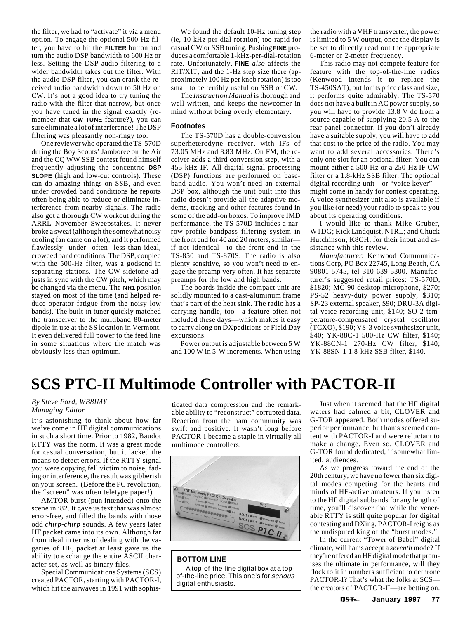<span id="page-5-0"></span>the filter, we had to "activate" it via a menu option. To engage the optional 500-Hz filter, you have to hit the **FILTER** button and turn the audio DSP bandwidth to 600 Hz or less. Setting the DSP audio filtering to a wider bandwidth takes out the filter. With the audio DSP filter, you can crank the received audio bandwidth down to 50 Hz on CW. It's not a good idea to try tuning the radio with the filter that narrow, but once you have tuned in the signal exactly (remember that **CW TUNE** feature?), you can sure eliminate a lot of interference! The DSP filtering was pleasantly non-ringy too.

One reviewer who operated the TS-570D during the Boy Scouts' Jamboree on the Air and the CQ WW SSB contest found himself frequently adjusting the concentric **DSP SLOPE** (high and low-cut controls). These can do amazing things on SSB, and even under crowded band conditions he reports often being able to reduce or eliminate interference from nearby signals. The radio also got a thorough CW workout during the ARRL November Sweepstakes. It never broke a sweat (although the somewhat noisy cooling fan came on a lot), and it performed flawlessly under often less-than-ideal, crowded band conditions. The DSP, coupled with the 500-Hz filter, was a godsend in separating stations. The CW sidetone adjusts in sync with the CW pitch, which may be changed via the menu. The **NR1** position stayed on most of the time (and helped reduce operator fatigue from the noisy low bands). The built-in tuner quickly matched the transceiver to the multiband 80-meter dipole in use at the SS location in Vermont. It even delivered full power to the feed line in some situations where the match was obviously less than optimum.

We found the default 10-Hz tuning step (ie, 10 kHz per dial rotation) too rapid for casual CW or SSB tuning. Pushing **FINE** produces a comfortable 1-kHz-per-dial-rotation rate. Unfortunately, **FINE** *also* affects the RIT/XIT, and the 1-Hz step size there (approximately 100 Hz per knob rotation) is too small to be terribly useful on SSB or CW.

The *Instruction Manual* is thorough and well-written, and keeps the newcomer in mind without being overly elementary.

### **Footnotes**

The TS-570D has a double-conversion superheterodyne receiver, with IFs of 73.05 MHz and 8.83 MHz. On FM, the receiver adds a third conversion step, with a 455-kHz IF. All digital signal processing (DSP) functions are performed on baseband audio. You won't need an external DSP box, although the unit built into this radio doesn't provide all the adaptive modems, tracking and other features found in some of the add-on boxes. To improve IMD performance, the TS-570D includes a narrow-profile bandpass filtering system in the front end for 40 and 20 meters, similar if not identical—to the front end in the TS-850 and TS-870S. The radio is also plenty sensitive, so you won't need to engage the preamp very often. It has separate preamps for the low and high bands.

The boards inside the compact unit are solidly mounted to a cast-aluminum frame that's part of the heat sink. The radio has a carrying handle, too—a feature often not included these days—which makes it easy to carry along on DXpeditions or Field Day excursions.

Power output is adjustable between 5 W and 100 W in 5-W increments. When using the radio with a VHF transverter, the power is limited to 5 W output, once the display is be set to directly read out the appropriate 6-meter or 2-meter frequency.

This radio may not compete feature for feature with the top-of-the-line radios (Kenwood intends it to replace the TS-450SAT), but for its price class and size, it performs quite admirably. The TS-570 does not have a built in AC power supply, so you will have to provide 13.8 V dc from a source capable of supplying 20.5 A to the rear-panel connector. If you don't already have a suitable supply, you will have to add that cost to the price of the radio. You may want to add several accessories. There's only one slot for an optional filter: You can mount either a 500-Hz or a 250-Hz IF CW filter or a 1.8-kHz SSB filter. The optional digital recording unit—or "voice keyer" might come in handy for contest operating. A voice synthesizer unit also is available if you like (or need) your radio to speak to you about its operating conditions.

I would like to thank Mike Gruber, W1DG; Rick Lindquist, N1RL; and Chuck Hutchinson, K8CH, for their input and assistance with this review.

*Manufacturer*: Kenwood Communications Corp, PO Box 22745, Long Beach, CA 90801-5745, tel 310-639-5300. Manufacturer's suggested retail prices: TS-570D, \$1820; MC-90 desktop microphone, \$270; PS-52 heavy-duty power supply, \$310; SP-23 external speaker, \$90; DRU-3A digital voice recording unit, \$140; SO-2 temperature-compensated crystal oscillator (TCXO), \$190; VS-3 voice synthesizer unit, \$40; YK-88C-1 500-Hz CW filter, \$140; YK-88CN-1 270-Hz CW filter, \$140; YK-88SN-1 1.8-kHz SSB filter, \$140.

# **SCS PTC-II Multimode Controller with PACTOR-II**

### *By Steve Ford, WB8IMY Managing Editor*

It's astonishing to think about how far we've come in HF digital communications in such a short time. Prior to 1982, Baudot RTTY was the norm. It was a great mode for casual conversation, but it lacked the means to detect errors. If the RTTY signal you were copying fell victim to noise, fading or interference, the result was gibberish on your screen. (Before the PC revolution, the "screen" was often teletype paper!)

AMTOR burst (pun intended) onto the scene in '82. It gave us text that was almost error-free, and filled the bands with those odd *chirp-chirp* sounds. A few years later HF packet came into its own. Although far from ideal in terms of dealing with the vagaries of HF, packet at least gave us the ability to exchange the entire ASCII character set, as well as binary files.

Special Communications Systems (SCS) created PACTOR, starting with PACTOR-I, which hit the airwaves in 1991 with sophisticated data compression and the remarkable ability to "reconstruct" corrupted data. Reaction from the ham community was swift and positive. It wasn't long before PACTOR-I became a staple in virtually all multimode controllers.



## **BOTTOM LINE**

A top-of-the-line digital box at a topof-the-line price. This one's for serious digital enthusiasts.

Just when it seemed that the HF digital waters had calmed a bit, CLOVER and G-TOR appeared. Both modes offered superior performance, but hams seemed content with PACTOR-I and were reluctant to make a change. Even so, CLOVER and G-TOR found dedicated, if somewhat limited, audiences.

As we progress toward the end of the 20th century, we have no fewer than six digital modes competing for the hearts and minds of HF-active amateurs. If you listen to the HF digital subbands for any length of time, you'll discover that while the venerable RTTY is still quite popular for digital contesting and DXing, PACTOR-I reigns as the undisputed king of the "burst modes."

In the current "Tower of Babel" digital climate, will hams accept a *seventh* mode? If they're offered an HF digital mode that promises the ultimate in performance, will they flock to it in numbers sufficient to dethrone PACTOR-I? That's what the folks at SCS the creators of PACTOR-II—are betting on.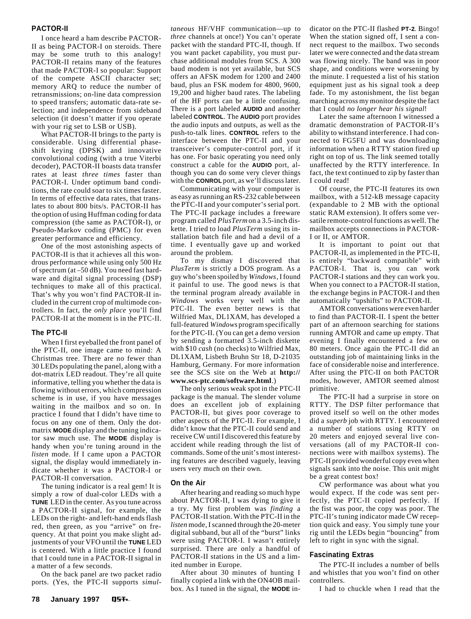### **PACTOR-II**

I once heard a ham describe PACTOR-II as being PACTOR-I on steroids. There may be some truth to this analogy! PACTOR-II retains many of the features that made PACTOR-I so popular: Support of the compete ASCII character set; memory ARQ to reduce the number of retransmissions; on-line data compression to speed transfers; automatic data-rate selection; and independence from sideband selection (it doesn't matter if you operate with your rig set to LSB or USB).

What PACTOR-II brings to the party is considerable. Using differential phaseshift keying (DPSK) and innovative convolutional coding (with a true Viterbi decoder), PACTOR-II boasts data transfer rates at least *three times* faster than PACTOR-I. Under optimum band conditions, the rate could soar to six times faster. In terms of effective data rates, that translates to about 800 bits/s. PACTOR-II has the option of using Huffman coding for data compression (the same as PACTOR-I), or Pseudo-Markov coding (PMC) for even greater performance and efficiency.

One of the most astonishing aspects of PACTOR-II is that it achieves all this wondrous performance while using only 500 Hz of spectrum (at –50 dB). You need fast hardware and digital signal processing (DSP) techniques to make all of this practical. That's why you won't find PACTOR-II included in the current crop of multimode controllers. In fact, the *only place* you'll find PACTOR-II at the moment is in the PTC-II.

### **The PTC-II**

When I first eyeballed the front panel of the PTC-II, one image came to mind: A Christmas tree. There are no fewer than 30 LEDs populating the panel, along with a dot-matrix LED readout. They're all quite informative, telling you whether the data is flowing without errors, which compression scheme is in use, if you have messages waiting in the mailbox and so on. In practice I found that I didn't have time to focus on any one of them. Only the dotmatrix **MODE** display and the tuning indicator saw much use. The **MODE** display is handy when you're tuning around in the *listen* mode. If I came upon a PACTOR signal, the display would immediately indicate whether it was a PACTOR-I or PACTOR-II conversation.

The tuning indicator is a real gem! It is simply a row of dual-color LEDs with a **TUNE** LED in the center. As you tune across a PACTOR-II signal, for example, the LEDs on the right- and left-hand ends flash red, then green, as you "arrive" on frequency. At that point you make slight adjustments of your VFO until the **TUNE** LED is centered. With a little practice I found that I could tune in a PACTOR-II signal in a matter of a few seconds.

On the back panel are two packet radio ports. (Yes, the PTC-II supports *simul-* *taneous* HF/VHF communication—up to *three* channels at once!) You can't operate packet with the standard PTC-II, though. If you want packet capability, you must purchase additional modules from SCS. A 300 baud modem is not yet available, but SCS offers an AFSK modem for 1200 and 2400 baud, plus an FSK modem for 4800, 9600, 19,200 and higher baud rates. The labeling of the HF ports can be a little confusing. There is a port labeled **AUDIO** and another labeled **CONTROL**. The **AUDIO** port provides the audio inputs and outputs, as well as the push-to-talk lines. **CONTROL** refers to the interface between the PTC-II and your transceiver's computer-control port, if it has one. For basic operating you need only construct a cable for the **AUDIO** port, although you can do some very clever things with the **CONROL** port, as we'll discuss later.

Communicating with your computer is as easy as running an RS-232 cable between the PTC-II and your computer's serial port. The PTC-II package includes a freeware program called *PlusTerm* on a 3.5-inch diskette. I tried to load *PlusTerm* using its installation batch file and had a devil of a time. I eventually gave up and worked around the problem.

To my dismay I discovered that *PlusTerm* is strictly a DOS program. As a guy who's been spoiled by *Windows*, I found it painful to use. The good news is that the terminal program already available in *Windows* works very well with the PTC-II. The even better news is that Wilfried Max, DL1XAM, has developed a full-featured *Windows* program specifically for the PTC-II. (You can get a demo version by sending a formatted 3.5-inch diskette with \$10 *cash* (no checks) to Wilfried Max, DL1XAM, Lisbeth Bruhn Str 18, D-21035 Hamburg, Germany. For more information see the SCS site on the Web at **http:// www.scs-ptc.com/software.html**.)

The only serious weak spot in the PTC-II package is the manual. The slender volume does an excellent job of explaining PACTOR-II, but gives poor coverage to other aspects of the PTC-II. For example, I didn't know that the PTC-II could send and receive CW until I discovered this feature by accident while reading through the list of commands. Some of the unit's most interesting features are described vaguely, leaving users very much on their own.

### **On the Air**

After hearing and reading so much hype about PACTOR-II, I was dying to give it a try. My first problem was *finding* a PACTOR-II station. With the PTC-II in the *listen* mode, I scanned through the 20-meter digital subband, but all of the "burst" links were using PACTOR-I. I wasn't entirely surprised. There are only a handful of PACTOR-II stations in the US and a limited number in Europe.

After about 30 minutes of hunting I finally copied a link with the ON4OB mailbox. As I tuned in the signal, the **MODE** indicator on the PTC-II flashed **PT-2**. Bingo! When the station signed off, I sent a connect request to the mailbox. Two seconds later we were connected and the data stream was flowing nicely. The band was in poor shape, and conditions were worsening by the minute. I requested a list of his station equipment just as his signal took a deep fade. To my astonishment, the list began marching across my monitor despite the fact that I could *no longer hear his signal*!

Later the same afternoon I witnessed a dramatic demonstration of PACTOR-II's ability to withstand interference. I had connected to FG5FU and was downloading information when a RTTY station fired up right on top of us. The link seemed totally unaffected by the RTTY interference. In fact, the text continued to zip by faster than I could read!

Of course, the PTC-II features its own mailbox, with a 512-kB message capacity (expandable to 2 MB with the optional static RAM extension). It offers some versatile remote-control functions as well. The mailbox accepts connections in PACTOR-I or II, or AMTOR.

It is important to point out that PACTOR-II, as implemented in the PTC-II, is entirely "backward compatible" with PACTOR-I. That is, you can work PACTOR-I stations and they can work you. When you connect to a PACTOR-II station, the exchange begins in PACTOR-I and then automatically "upshifts" to PACTOR-II.

AMTOR conversations were even harder to find than PACTOR-II. I spent the better part of an afternoon searching for stations running AMTOR and came up empty. That evening I finally encountered a few on 80 meters. Once again the PTC-II did an outstanding job of maintaining links in the face of considerable noise and interference. After using the PTC-II on both PACTOR modes, however, AMTOR seemed almost primitive.

The PTC-II had a surprise in store on RTTY. The DSP filter performance that proved itself so well on the other modes did a *superb* job with RTTY. I encountered a number of stations using RTTY on 20 meters and enjoyed several live conversations (all of my PACTOR-II connections were with mailbox systems). The PTC-II provided wonderful copy even when signals sank into the noise. This unit might be a great contest box!

CW performance was about what you would expect. If the code was sent perfectly, the PTC-II copied perfectly. If the fist was poor, the copy was poor. The PTC-II's tuning indicator made CW reception quick and easy. You simply tune your rig until the LEDs begin "bouncing" from left to right in sync with the signal.

### **Fascinating Extras**

The PTC-II includes a number of bells and whistles that you won't find on other controllers.

I had to chuckle when I read that the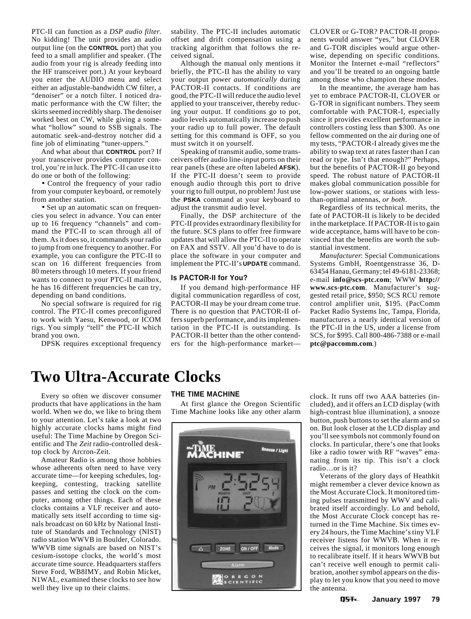<span id="page-7-0"></span>PTC-II can function as a *DSP audio filter*. No kidding! The unit provides an audio output line (on the **CONTROL** port) that you feed to a small amplifier and speaker. (The audio from your rig is already feeding into the HF transceiver port.) At your keyboard you enter the AUDIO menu and select either an adjustable-bandwidth CW filter, a "denoiser" or a notch filter. I noticed dramatic performance with the CW filter; the skirts seemed incredibly sharp. The denoiser worked best on CW, while giving a somewhat "hollow" sound to SSB signals. The automatic seek-and-destroy notcher did a fine job of eliminating "tuner-uppers."

And what about that **CONTROL** port? If your transceiver provides computer control, you're in luck. The PTC-II can use it to do one or both of the following:

• Control the frequency of your radio from your computer keyboard, or remotely from another station.

• Set up an automatic scan on frequencies you select in advance. You can enter up to 16 frequency "channels" and command the PTC-II to scan through all of them. As it does so, it commands your radio to jump from one frequency to another. For example, you can configure the PTC-II to scan on 16 different frequencies from 80 meters through 10 meters. If your friend wants to connect to your PTC-II mailbox, he has 16 different frequencies he can try, depending on band conditions.

No special software is required for rig control. The PTC-II comes preconfigured to work with Yaesu, Kenwood, or ICOM rigs. You simply "tell" the PTC-II which brand you own.

DPSK requires exceptional frequency

stability. The PTC-II includes automatic offset and drift compensation using a tracking algorithm that follows the received signal.

Although the manual only mentions it briefly, the PTC-II has the ability to vary your output power *automatically* during PACTOR-II contacts. If conditions are good, the PTC-II will reduce the audio level applied to your transceiver, thereby reducing your output. If conditions go to pot, audio levels automatically increase to push your radio up to full power. The default setting for this command is OFF, so you must switch it on yourself.

Speaking of transmit audio, some transceivers offer audio line-input ports on their rear panels (these are often labeled **AFSK**). If the PTC-II doesn't seem to provide enough audio through this port to drive your rig to full output, no problem! Just use the **PSKA** command at your keyboard to adjust the transmit audio level.

Finally, the DSP architecture of the PTC-II provides extraordinary flexibility for the future. SCS plans to offer free firmware updates that will allow the PTC-II to operate on FAX and SSTV. All you'd have to do is place the software in your computer and implement the PTC-II's **UPDATE** command.

### **Is PACTOR-II for You?**

If you demand high-performance HF digital communication regardless of cost, PACTOR-II may be your dream come true. There is no question that PACTOR-II offers superb performance, and its implementation in the PTC-II is outstanding. Is PACTOR-II better than the other contenders for the high-performance marketCLOVER or G-TOR? PACTOR-II proponents would answer "yes," but CLOVER and G-TOR disciples would argue otherwise, depending on specific conditions. Monitor the Internet e-mail "reflectors" and you'll be treated to an ongoing battle among those who champion these modes.

In the meantime, the average ham has yet to embrace PACTOR-II, CLOVER or G-TOR in significant numbers. They seem comfortable with PACTOR-I, especially since it provides excellent performance in controllers costing less than \$300. As one fellow commented on the air during one of my tests, "PACTOR-I already gives me the ability to swap text at rates faster than I can read or type. Isn't that enough?" Perhaps, but the benefits of PACTOR-II go beyond speed. The robust nature of PACTOR-II makes global communication possible for low-power stations, or stations with lessthan-optimal antennas, *or both*.

Regardless of its technical merits, the fate of PACTOR-II is likely to be decided in the marketplace. If PACTOR-II is to gain wide acceptance, hams will have to be convinced that the benefits are worth the substantial investment.

*Manufacturer*: Special Communications Systems GmbH, Roentgenstrasse 36, D-63454 Hanau, Germany; tel 49-6181-23368; e-mail **info@scs-ptc.com**; WWW **http:// www.scs-ptc.com**. Manufacturer's suggested retail price, \$950; SCS RCU remote control amplifier unit, \$195. (PacComm Packet Radio Systems Inc, Tampa, Florida, manufactures a nearly identical version of the PTC-II in the US, under a license from SCS, for \$995. Call 800-486-7388 or e-mail **ptc@paccomm.com**.)

# **Two Ultra-Accurate Clocks**

Every so often we discover consumer products that have applications in the ham world. When we do, we like to bring them to your attention. Let's take a look at two highly accurate clocks hams might find useful: The Time Machine by Oregon Scientific and The *Zeit* radio-controlled desktop clock by Arcron-Zeit.

Amateur Radio is among those hobbies whose adherents often need to have very accurate time—for keeping schedules, logkeeping, contesting, tracking satellite passes and setting the clock on the computer, among other things. Each of these clocks contains a VLF receiver and automatically sets itself according to time signals broadcast on 60 kHz by National Institute of Standards and Technology (NIST) radio station WWVB in Boulder, Colorado. WWVB time signals are based on NIST's cesium-isotope clocks, the world's most accurate time source. Headquarters staffers Steve Ford, WB8IMY, and Robin Micket, N1WAL, examined these clocks to see how well they live up to their claims.

### **THE TIME MACHINE**

At first glance the Oregon Scientific Time Machine looks like any other alarm



clock. It runs off two AAA batteries (included), and it offers an LCD display (with high-contrast blue illumination), a snooze button, push buttons to set the alarm and so on. But look closer at the LCD display and you'll see symbols not commonly found on clocks. In particular, there's one that looks like a radio tower with RF "waves" emanating from its tip. This isn't a clock radio…or is it?

Veterans of the glory days of Heathkit might remember a clever device known as the Most Accurate Clock. It monitored timing pulses transmitted by WWV and calibrated itself accordingly. Lo and behold, the Most Accurate Clock concept has returned in the Time Machine. Six times every 24 hours, the Time Machine's tiny VLF receiver listens for WWVB. When it receives the signal, it monitors long enough to recalibrate itself. If it hears WWVB but can't receive well enough to permit calibration, another symbol appears on the display to let you know that you need to move the antenna.